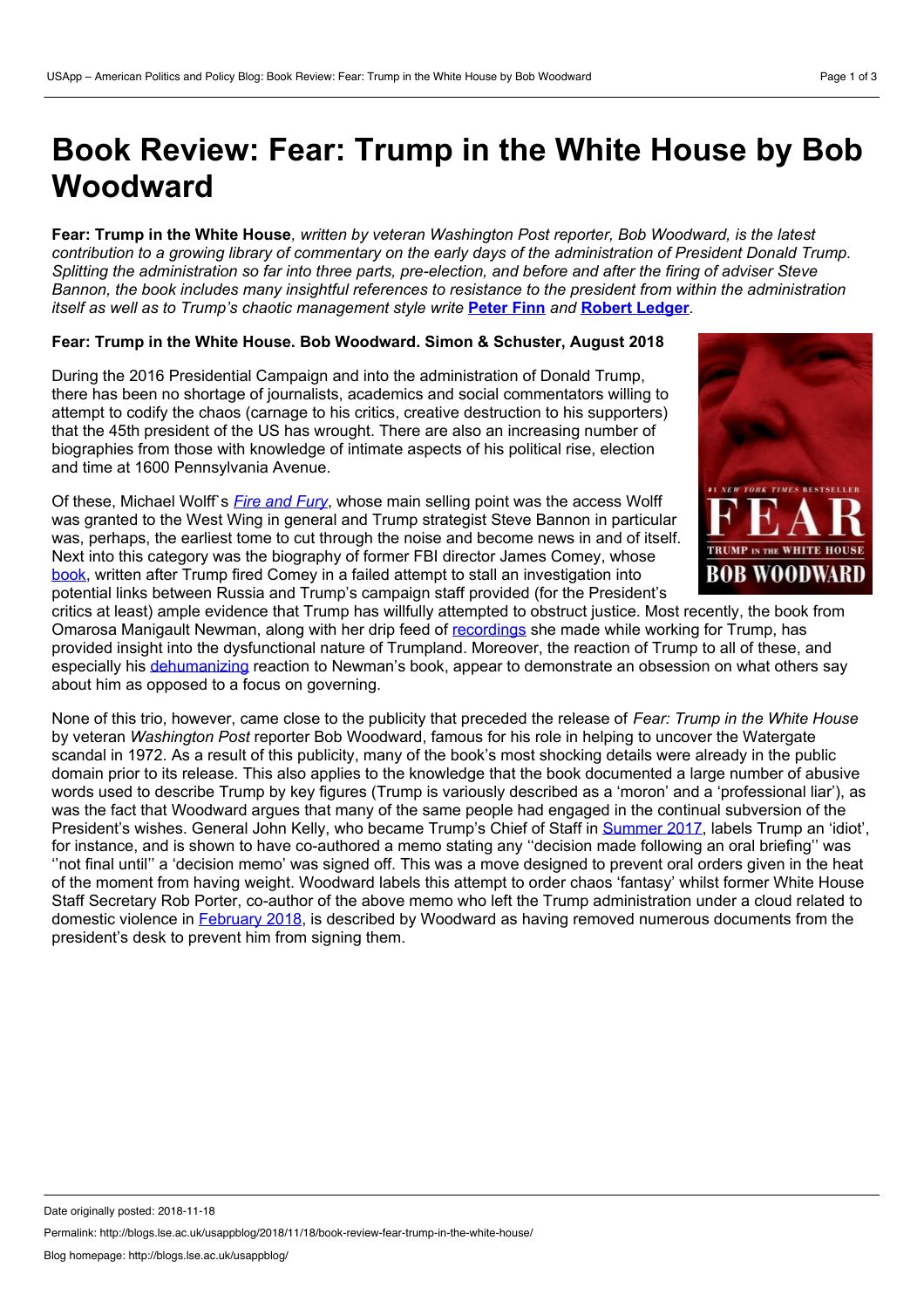# **Book Review: Fear: Trump in the White House by Bob Woodward**

Fear: Trump in the White House, written by veteran Washington Post reporter. Bob Woodward, is the latest contribution to a growing library of commentary on the early days of the administration of President Donald Trump. Splitting the administration so far into three parts, pre-election, and before and after the firing of adviser Steve Bannon, the book includes many insightful references to resistance to the president from within the administration *itself as wellas to Trump's chaotic management style write* **[Peter](https://wp.me/p3I2YF-8kG#Author) Finn** *and* **Robert [Ledger](https://wp.me/p3I2YF-8kG#Author)***.*

## **Fear: Trump in the White House. Bob Woodward. Simon & Schuster, August 2018**

During the 2016 Presidential Campaign and into the administration of Donald Trump, there has been no shortage of journalists, academics and social commentators willing to attempt to codify the chaos (carnage to his critics, creative destruction to his supporters) that the 45th president of the US has wrought. There are also an increasing number of biographies from those with knowledge of intimate aspects of his political rise, election and time at 1600 Pennsylvania Avenue.

Of these, Michael Wolff`s *Fire and [Fury](https://www.theguardian.com/books/2018/jan/15/fire-and-fury-inside-the-trump-white-house-by-michael-wolff-digested-read)*, whose main selling point was the access Wolff was granted to the West Wing in general and Trump strategist Steve Bannon in particular was, perhaps, the earliest tome to cut through the noise and become news in and of itself. Next into this category was the biography of former FBI director James Comey, whose<br>book, written after Trump fired Comey in a failed attempt to stall an investigation into **BOB WOODWARD** [book](https://www.independent.co.uk/news/world/americas/james-comey-book-summary-review-donald-trump-pee-tape-explained-fbi-director-a8307311.html), written after Trump fired Comey in a failed attempt to stall an investigation into potential links between Russia and Trump's campaign staff provided (for the President's



critics at least) ample evidence that Trump has willfully attempted to obstruct justice. Most recently, the book from Omarosa Manigault Newman, along with her drip feed of [recordings](https://edition.cnn.com/2018/08/12/politics/omarosa-manigault-newman-john-kelly/index.html) she made while working for Trump, has provided insight into the dysfunctional nature of Trumpland. Moreover, the reaction of Trump to all of these, and especially his [dehumanizing](https://edition.cnn.com/2018/08/14/opinions/trump-calling-omarosa-dog-is-sexist-hossain/index.html) reaction to Newman's book, appear to demonstrate an obsession on what others say about him as opposed to a focus on governing.

None of this trio, however, came close to the publicity that preceded the release of *Fear: Trump in the White House* by veteran *Washington Post* reporter Bob Woodward, famous for his role in helping to uncover the Watergate scandal in 1972. As a result of this publicity, many of the book's most shocking details were already in the public domain prior to its release. This also applies to the knowledge that the book documented a large number of abusive words used to describe Trump by key figures (Trump is variously described as a 'moron' and a 'professional liar'), as was the fact that Woodward argues that many of the same people had engaged in the continual subversion of the President's wishes. General John Kelly, who became Trump's Chief of Staff in [Summer](https://www.telegraph.co.uk/news/2017/07/28/john-kelly-general-appointed-chief-staff-bring-order-white-house/) 2017, labels Trump an 'idiot', for instance, and is shown to have co-authored a memo stating any ''decision made following an oral briefing'' was ''not final until'' a 'decision memo' was signed off. This was a move designed to prevent oral orders given in the heat of the moment from having weight. Woodward labels this attempt to order chaos 'fantasy' whilst former White House Staff Secretary Rob Porter, co-author of the above memo who left the Trump administration under a cloud related to domestic violence in [February](https://eu.usatoday.com/story/news/nation-now/2018/02/08/who-rob-porter-what-we-know-white-house-staff-secretary/318836002/) 2018, is described by Woodward as having removed numerous documents from the president's desk to prevent him from signing them.

Permalink: http://blogs.lse.ac.uk/usappblog/2018/11/18/book-review-fear-trump-in-the-white-house/

Date originally posted: 2018-11-18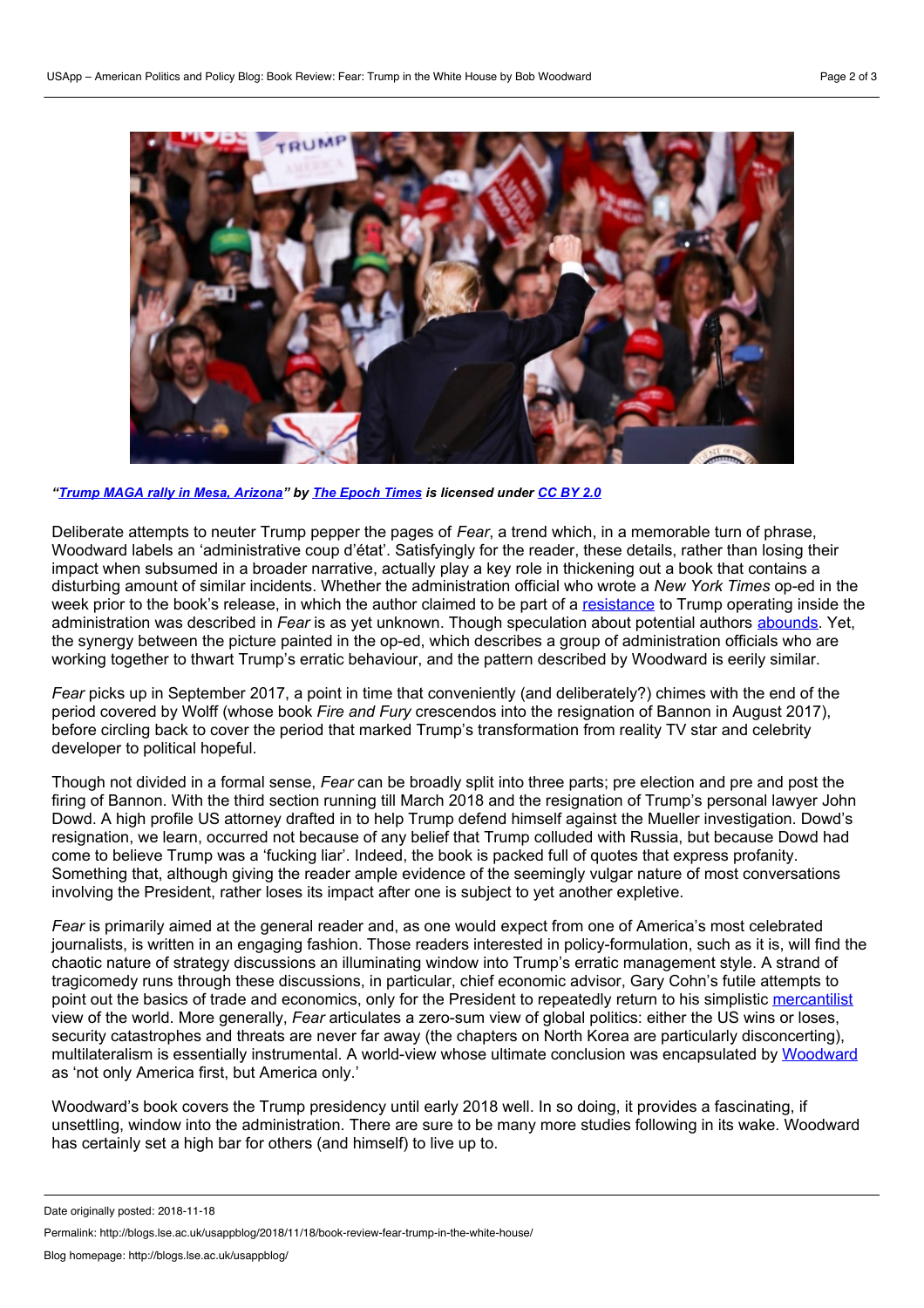

*"Trump MAGA rally in Mesa, [Arizona](https://www.flickr.com/photos/142588507@N05/45623068151/)" by The [Epoch](https://www.flickr.com/photos/142588507@N05/) Times is licensed under [CC](https://creativecommons.org/licenses/by/2.0/) BY 2.0*

Deliberate attempts to neuter Trump pepper the pages of *Fear*, a trend which, in a memorable turn of phrase, Woodward labels an 'administrative coup d'état'. Satisfyingly for the reader, these details, rather than losing their impact when subsumed in a broader narrative, actually play a key role in thickening out a book that contains a disturbing amount of similar incidents. Whether the administration official who wrote a *New York Times* op-ed in the week prior to the book's release, in which the author claimed to be part of a [resistance](https://www.nytimes.com/2018/09/05/opinion/trump-white-house-anonymous-resistance.html) to Trump operating inside the administration was described in *Fear* is as yetunknown. Though speculation about potential authors [abounds.](https://slate.com/news-and-politics/2018/09/new-york-times-op-ed-anonymous-writer-trump.html) Yet, the synergy between the picture painted in the op-ed, which describes a group of administration officials who are working together to thwart Trump's erratic behaviour, and the pattern described by Woodward is eerily similar.

*Fear* picks up in September 2017, a point in time that conveniently (and deliberately?) chimes with the end of the period covered by Wolff (whose book *Fire and Fury* crescendos into the resignation of Bannon in August 2017), before circling back to cover the period that marked Trump's transformation from reality TV star and celebrity developer to political hopeful.

Though not divided in a formal sense, *Fear* can be broadly split into three parts; pre election and pre and post the firing of Bannon. With the third section running till March 2018 and the resignation of Trump's personal lawyer John Dowd. A high profile US attorney drafted in to help Trump defend himself against the Mueller investigation. Dowd's resignation, we learn, occurred not because of any belief that Trump colluded with Russia, but because Dowd had come to believe Trump was a 'fucking liar'. Indeed, the book is packed full of quotes that express profanity. Something that, although giving the reader ample evidence of the seemingly vulgar nature of most conversations involving the President, rather loses its impact after one is subject to yet another expletive.

*Fear* is primarily aimed at the general reader and, as one would expect from one of America's most celebrated journalists, is written in an engaging fashion. Those readers interested in policy-formulation, such as it is, will find the chaotic nature of strategy discussions an illuminating window into Trump's erratic management style. A strand of tragicomedy runs through these discussions, in particular, chief economic advisor, Gary Cohn's futile attempts to point out the basics of trade and economics, only for the President to repeatedly return to his simplistic [mercantilist](http://blogs.lse.ac.uk/usappblog/2018/10/17/what-trumps-american-first-policy-means-for-the-international-trading-system/) view of the world. More generally, *Fear* articulates a zero-sum view of global politics: either the US wins orloses, security catastrophes and threats are never far away (the chapters on North Korea are particularly disconcerting), multilateralism is essentially instrumental. A world-view whose ultimate conclusion was encapsulated by [Woodward](http://time.com/5407898/bob-woodward/) as 'not only America first, but America only.'

Woodward's book covers the Trump presidency until early 2018 well. In so doing, it provides a fascinating, if unsettling, window into the administration. There are sure to be many more studies following in its wake. Woodward has certainly set a high bar for others (and himself) to live up to.

Permalink: http://blogs.lse.ac.uk/usappblog/2018/11/18/book-review-fear-trump-in-the-white-house/

Date originally posted: 2018-11-18